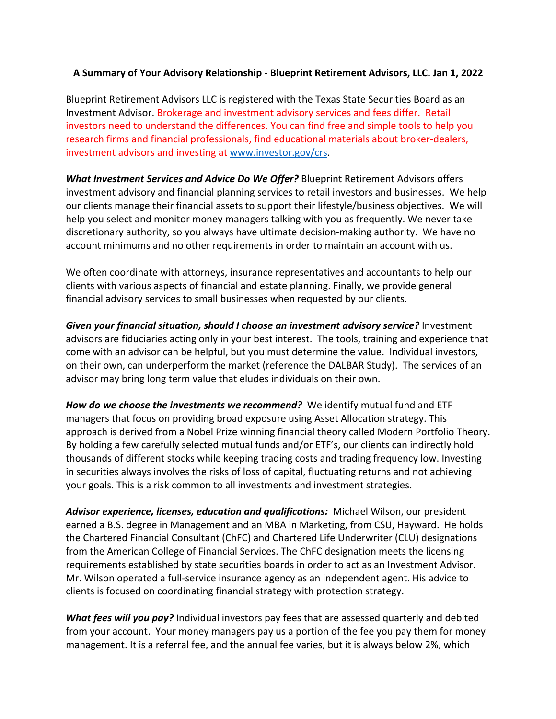## **A Summary of Your Advisory Relationship - Blueprint Retirement Advisors, LLC. Jan 1, 2022**

Blueprint Retirement Advisors LLC is registered with the Texas State Securities Board as an Investment Advisor. Brokerage and investment advisory services and fees differ. Retail investors need to understand the differences. You can find free and simple tools to help you research firms and financial professionals, find educational materials about broker-dealers, investment advisors and investing at www.investor.gov/crs.

*What Investment Services and Advice Do We Offer?* Blueprint Retirement Advisors offers investment advisory and financial planning services to retail investors and businesses. We help our clients manage their financial assets to support their lifestyle/business objectives. We will help you select and monitor money managers talking with you as frequently. We never take discretionary authority, so you always have ultimate decision-making authority. We have no account minimums and no other requirements in order to maintain an account with us.

We often coordinate with attorneys, insurance representatives and accountants to help our clients with various aspects of financial and estate planning. Finally, we provide general financial advisory services to small businesses when requested by our clients.

*Given your financial situation, should I choose an investment advisory service?* Investment advisors are fiduciaries acting only in your best interest. The tools, training and experience that come with an advisor can be helpful, but you must determine the value. Individual investors, on their own, can underperform the market (reference the DALBAR Study). The services of an advisor may bring long term value that eludes individuals on their own.

*How do we choose the investments we recommend?* We identify mutual fund and ETF managers that focus on providing broad exposure using Asset Allocation strategy. This approach is derived from a Nobel Prize winning financial theory called Modern Portfolio Theory. By holding a few carefully selected mutual funds and/or ETF's, our clients can indirectly hold thousands of different stocks while keeping trading costs and trading frequency low. Investing in securities always involves the risks of loss of capital, fluctuating returns and not achieving your goals. This is a risk common to all investments and investment strategies.

*Advisor experience, licenses, education and qualifications:* Michael Wilson, our president earned a B.S. degree in Management and an MBA in Marketing, from CSU, Hayward. He holds the Chartered Financial Consultant (ChFC) and Chartered Life Underwriter (CLU) designations from the American College of Financial Services. The ChFC designation meets the licensing requirements established by state securities boards in order to act as an Investment Advisor. Mr. Wilson operated a full-service insurance agency as an independent agent. His advice to clients is focused on coordinating financial strategy with protection strategy.

*What fees will you pay?* Individual investors pay fees that are assessed quarterly and debited from your account. Your money managers pay us a portion of the fee you pay them for money management. It is a referral fee, and the annual fee varies, but it is always below 2%, which